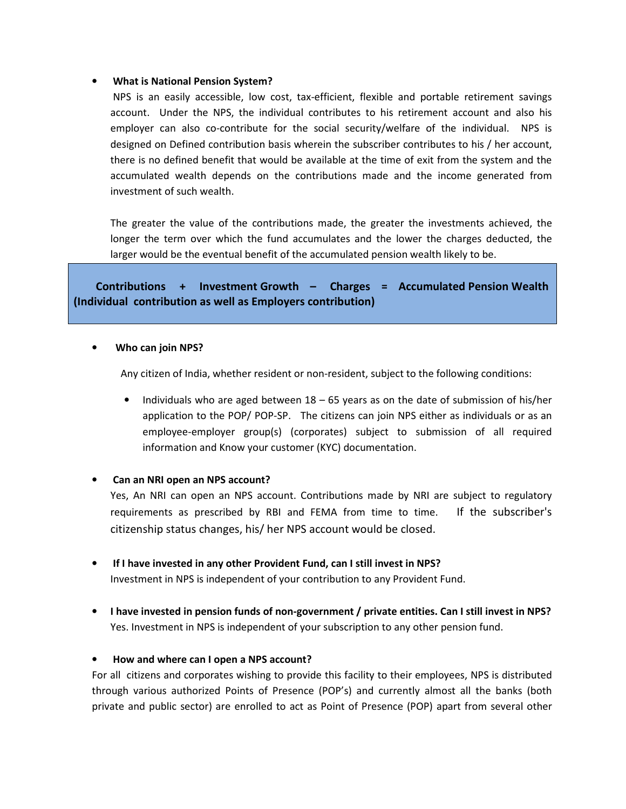#### • **What is National Pension System?**

 NPS is an easily accessible, low cost, tax-efficient, flexible and portable retirement savings account. Under the NPS, the individual contributes to his retirement account and also his employer can also co-contribute for the social security/welfare of the individual. NPS is designed on Defined contribution basis wherein the subscriber contributes to his / her account, there is no defined benefit that would be available at the time of exit from the system and the accumulated wealth depends on the contributions made and the income generated from investment of such wealth.

The greater the value of the contributions made, the greater the investments achieved, the longer the term over which the fund accumulates and the lower the charges deducted, the larger would be the eventual benefit of the accumulated pension wealth likely to be.

# **Contributions + Investment Growth – Charges = Accumulated Pension Wealth (Individual contribution as well as Employers contribution)**

#### • **Who can join NPS?**

Any citizen of India, whether resident or non-resident, subject to the following conditions:

• Individuals who are aged between 18 – 65 years as on the date of submission of his/her application to the POP/ POP-SP. The citizens can join NPS either as individuals or as an employee-employer group(s) (corporates) subject to submission of all required information and Know your customer (KYC) documentation.

## • **Can an NRI open an NPS account?**

Yes, An NRI can open an NPS account. Contributions made by NRI are subject to regulatory requirements as prescribed by RBI and FEMA from time to time. If the subscriber's citizenship status changes, his/ her NPS account would be closed.

• **If I have invested in any other Provident Fund, can I still invest in NPS?** 

Investment in NPS is independent of your contribution to any Provident Fund.

• **I have invested in pension funds of non-government / private entities. Can I still invest in NPS?**  Yes. Investment in NPS is independent of your subscription to any other pension fund.

#### • **How and where can I open a NPS account?**

For all citizens and corporates wishing to provide this facility to their employees, NPS is distributed through various authorized Points of Presence (POP's) and currently almost all the banks (both private and public sector) are enrolled to act as Point of Presence (POP) apart from several other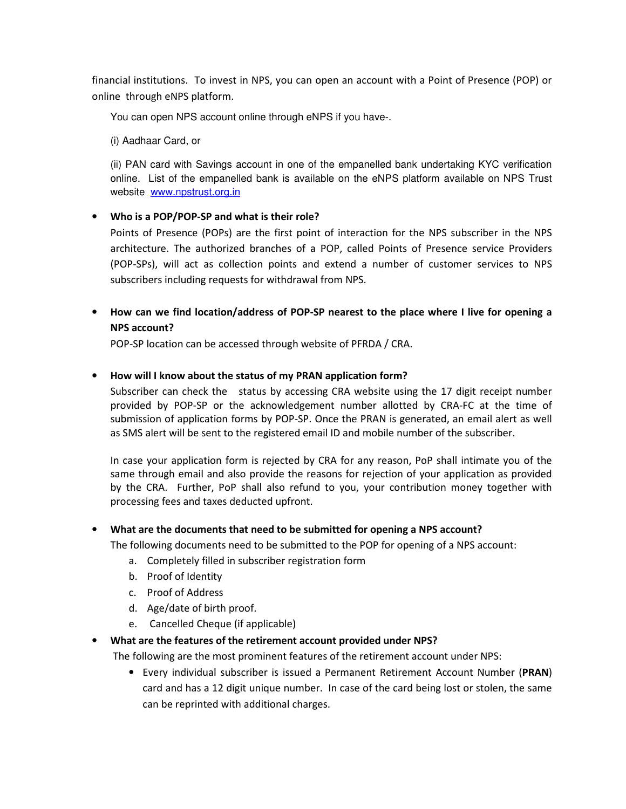financial institutions. To invest in NPS, you can open an account with a Point of Presence (POP) or online through eNPS platform.

You can open NPS account online through eNPS if you have-.

(i) Aadhaar Card, or

(ii) PAN card with Savings account in one of the empanelled bank undertaking KYC verification online. List of the empanelled bank is available on the eNPS platform available on NPS Trust website www.npstrust.org.in

## • **Who is a POP/POP-SP and what is their role?**

Points of Presence (POPs) are the first point of interaction for the NPS subscriber in the NPS architecture. The authorized branches of a POP, called Points of Presence service Providers (POP-SPs), will act as collection points and extend a number of customer services to NPS subscribers including requests for withdrawal from NPS.

• **How can we find location/address of POP-SP nearest to the place where I live for opening a NPS account?** 

POP-SP location can be accessed through website of PFRDA / CRA.

### • **How will I know about the status of my PRAN application form?**

Subscriber can check the status by accessing CRA website using the 17 digit receipt number provided by POP-SP or the acknowledgement number allotted by CRA-FC at the time of submission of application forms by POP-SP. Once the PRAN is generated, an email alert as well as SMS alert will be sent to the registered email ID and mobile number of the subscriber.

In case your application form is rejected by CRA for any reason, PoP shall intimate you of the same through email and also provide the reasons for rejection of your application as provided by the CRA. Further, PoP shall also refund to you, your contribution money together with processing fees and taxes deducted upfront.

#### • **What are the documents that need to be submitted for opening a NPS account?**

The following documents need to be submitted to the POP for opening of a NPS account:

- a. Completely filled in subscriber registration form
- b. Proof of Identity
- c. Proof of Address
- d. Age/date of birth proof.
- e. Cancelled Cheque (if applicable)

#### • **What are the features of the retirement account provided under NPS?**

The following are the most prominent features of the retirement account under NPS:

• Every individual subscriber is issued a Permanent Retirement Account Number (**PRAN**) card and has a 12 digit unique number. In case of the card being lost or stolen, the same can be reprinted with additional charges.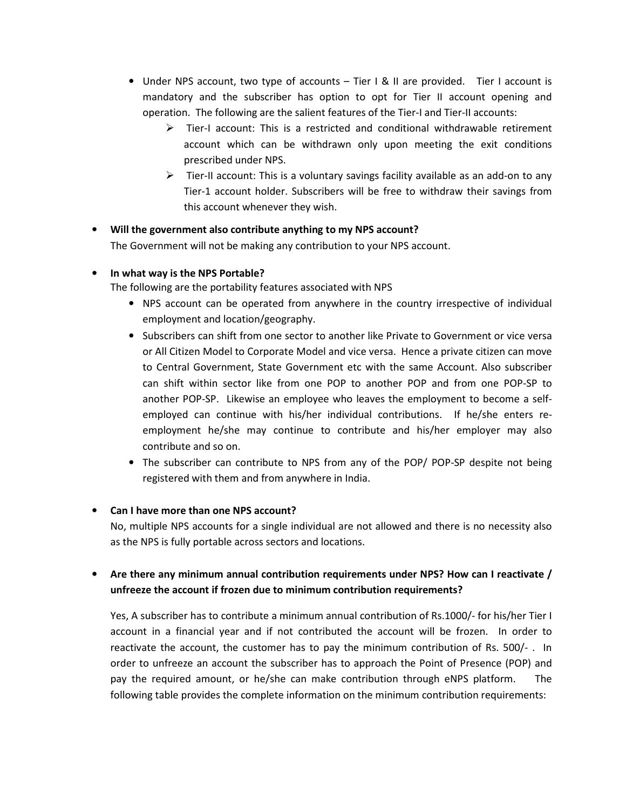- Under NPS account, two type of accounts Tier I & II are provided. Tier I account is mandatory and the subscriber has option to opt for Tier II account opening and operation. The following are the salient features of the Tier-I and Tier-II accounts:
	- $\triangleright$  Tier-I account: This is a restricted and conditional withdrawable retirement account which can be withdrawn only upon meeting the exit conditions prescribed under NPS.
	- $\triangleright$  Tier-II account: This is a voluntary savings facility available as an add-on to any Tier-1 account holder. Subscribers will be free to withdraw their savings from this account whenever they wish.

### • **Will the government also contribute anything to my NPS account?**

The Government will not be making any contribution to your NPS account.

#### • **In what way is the NPS Portable?**

The following are the portability features associated with NPS

- NPS account can be operated from anywhere in the country irrespective of individual employment and location/geography.
- Subscribers can shift from one sector to another like Private to Government or vice versa or All Citizen Model to Corporate Model and vice versa. Hence a private citizen can move to Central Government, State Government etc with the same Account. Also subscriber can shift within sector like from one POP to another POP and from one POP-SP to another POP-SP. Likewise an employee who leaves the employment to become a selfemployed can continue with his/her individual contributions. If he/she enters reemployment he/she may continue to contribute and his/her employer may also contribute and so on.
- The subscriber can contribute to NPS from any of the POP/ POP-SP despite not being registered with them and from anywhere in India.

#### • **Can I have more than one NPS account?**

No, multiple NPS accounts for a single individual are not allowed and there is no necessity also as the NPS is fully portable across sectors and locations.

# • **Are there any minimum annual contribution requirements under NPS? How can I reactivate / unfreeze the account if frozen due to minimum contribution requirements?**

Yes, A subscriber has to contribute a minimum annual contribution of Rs.1000/- for his/her Tier I account in a financial year and if not contributed the account will be frozen. In order to reactivate the account, the customer has to pay the minimum contribution of Rs. 500/- . In order to unfreeze an account the subscriber has to approach the Point of Presence (POP) and pay the required amount, or he/she can make contribution through eNPS platform. The following table provides the complete information on the minimum contribution requirements: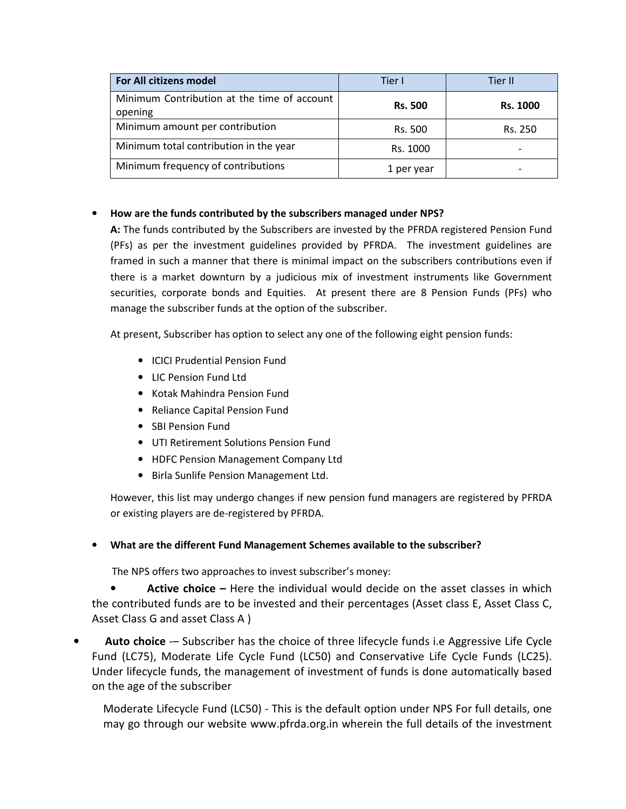| For All citizens model                                 | Tier I<br>Tier II |                 |
|--------------------------------------------------------|-------------------|-----------------|
| Minimum Contribution at the time of account<br>opening | <b>Rs. 500</b>    | <b>Rs. 1000</b> |
| Minimum amount per contribution                        | Rs. 500           | Rs. 250         |
| Minimum total contribution in the year                 | Rs. 1000          |                 |
| Minimum frequency of contributions                     | 1 per year        |                 |

## • **How are the funds contributed by the subscribers managed under NPS?**

**A:** The funds contributed by the Subscribers are invested by the PFRDA registered Pension Fund (PFs) as per the investment guidelines provided by PFRDA. The investment guidelines are framed in such a manner that there is minimal impact on the subscribers contributions even if there is a market downturn by a judicious mix of investment instruments like Government securities, corporate bonds and Equities. At present there are 8 Pension Funds (PFs) who manage the subscriber funds at the option of the subscriber.

At present, Subscriber has option to select any one of the following eight pension funds:

- ICICI Prudential Pension Fund
- LIC Pension Fund Ltd
- Kotak Mahindra Pension Fund
- Reliance Capital Pension Fund
- SBI Pension Fund
- UTI Retirement Solutions Pension Fund
- HDFC Pension Management Company Ltd
- Birla Sunlife Pension Management Ltd.

However, this list may undergo changes if new pension fund managers are registered by PFRDA or existing players are de-registered by PFRDA.

• **What are the different Fund Management Schemes available to the subscriber?** 

The NPS offers two approaches to invest subscriber's money:

• **Active choice –** Here the individual would decide on the asset classes in which the contributed funds are to be invested and their percentages (Asset class E, Asset Class C, Asset Class G and asset Class A )

• **Auto choice** -– Subscriber has the choice of three lifecycle funds i.e Aggressive Life Cycle Fund (LC75), Moderate Life Cycle Fund (LC50) and Conservative Life Cycle Funds (LC25). Under lifecycle funds, the management of investment of funds is done automatically based on the age of the subscriber

Moderate Lifecycle Fund (LC50) - This is the default option under NPS For full details, one may go through our website www.pfrda.org.in wherein the full details of the investment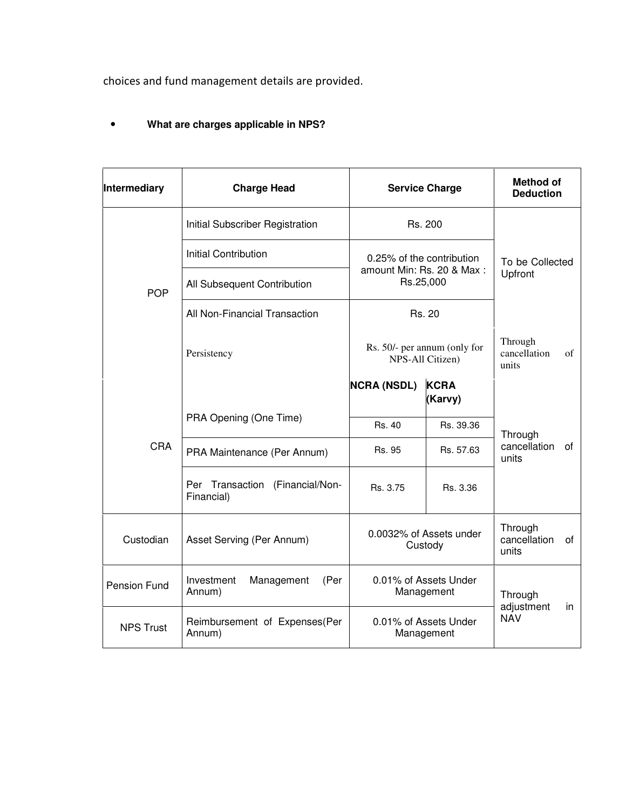choices and fund management details are provided.

# • **What are charges applicable in NPS?**

| Intermediary     | <b>Charge Head</b>                            | <b>Service Charge</b>                                               |                        | <b>Method of</b><br><b>Deduction</b>   |    |
|------------------|-----------------------------------------------|---------------------------------------------------------------------|------------------------|----------------------------------------|----|
|                  | Initial Subscriber Registration               | Rs. 200                                                             |                        | To be Collected<br>Upfront             |    |
| <b>POP</b>       | <b>Initial Contribution</b>                   | 0.25% of the contribution<br>amount Min: Rs. 20 & Max:<br>Rs.25,000 |                        |                                        |    |
|                  | All Subsequent Contribution                   |                                                                     |                        |                                        |    |
|                  | All Non-Financial Transaction                 | Rs. 20                                                              |                        |                                        |    |
|                  | Persistency                                   | Rs. 50/- per annum (only for<br>NPS-All Citizen)                    |                        | Through<br>cancellation<br>units       | of |
| <b>CRA</b>       |                                               | <b>NCRA (NSDL)</b>                                                  | <b>KCRA</b><br>(Karvy) | Through<br>cancellation<br>οf<br>units |    |
|                  | PRA Opening (One Time)                        | Rs. 40                                                              | Rs. 39.36              |                                        |    |
|                  | PRA Maintenance (Per Annum)                   | Rs. 95                                                              | Rs. 57.63              |                                        |    |
|                  | Per Transaction (Financial/Non-<br>Financial) | Rs. 3.75                                                            | Rs. 3.36               |                                        |    |
| Custodian        | Asset Serving (Per Annum)                     | 0.0032% of Assets under<br>Custody                                  |                        | Through<br>cancellation<br>units       | 0f |
| Pension Fund     | Investment<br>Management<br>(Per<br>Annum)    | 0.01% of Assets Under<br>Management                                 |                        | Through                                |    |
| <b>NPS Trust</b> | Reimbursement of Expenses(Per<br>Annum)       | 0.01% of Assets Under<br>Management                                 |                        | adjustment<br>in<br><b>NAV</b>         |    |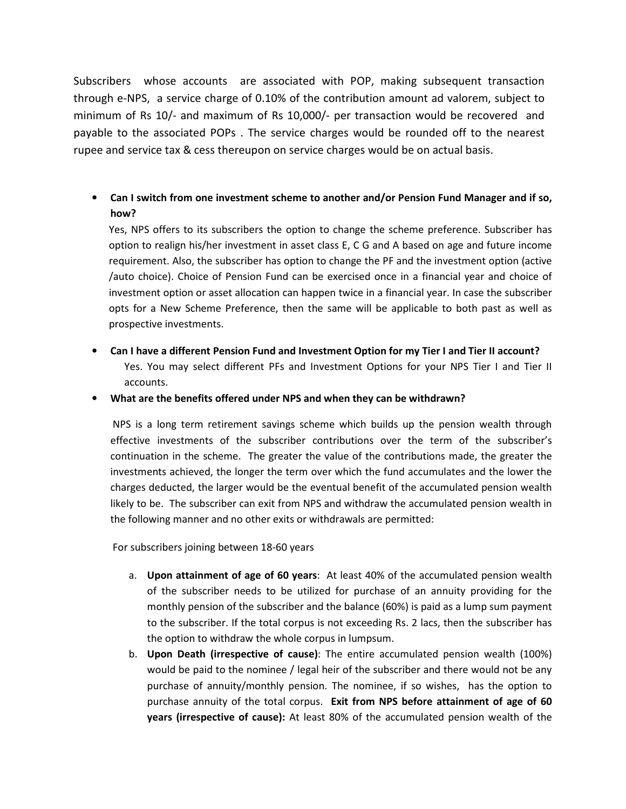Subscribers whose accounts are associated with POP, making subsequent transaction through e-NPS, a service charge of 0.10% of the contribution amount ad valorem, subject to minimum of Rs 10/- and maximum of Rs 10,000/- per transaction would be recovered and payable to the associated POPs . The service charges would be rounded off to the nearest rupee and service tax & cess thereupon on service charges would be on actual basis.

• **Can I switch from one investment scheme to another and/or Pension Fund Manager and if so, how?** 

Yes, NPS offers to its subscribers the option to change the scheme preference. Subscriber has option to realign his/her investment in asset class E, C G and A based on age and future income requirement. Also, the subscriber has option to change the PF and the investment option (active /auto choice). Choice of Pension Fund can be exercised once in a financial year and choice of investment option or asset allocation can happen twice in a financial year. In case the subscriber opts for a New Scheme Preference, then the same will be applicable to both past as well as prospective investments.

• **Can I have a different Pension Fund and Investment Option for my Tier I and Tier II account?**  Yes. You may select different PFs and Investment Options for your NPS Tier I and Tier II accounts.

• **What are the benefits offered under NPS and when they can be withdrawn?** 

NPS is a long term retirement savings scheme which builds up the pension wealth through effective investments of the subscriber contributions over the term of the subscriber's continuation in the scheme. The greater the value of the contributions made, the greater the investments achieved, the longer the term over which the fund accumulates and the lower the charges deducted, the larger would be the eventual benefit of the accumulated pension wealth likely to be. The subscriber can exit from NPS and withdraw the accumulated pension wealth in the following manner and no other exits or withdrawals are permitted:

For subscribers joining between 18-60 years

- a. **Upon attainment of age of 60 years**: At least 40% of the accumulated pension wealth of the subscriber needs to be utilized for purchase of an annuity providing for the monthly pension of the subscriber and the balance (60%) is paid as a lump sum payment to the subscriber. If the total corpus is not exceeding Rs. 2 lacs, then the subscriber has the option to withdraw the whole corpus in lumpsum.
- b. **Upon Death (irrespective of cause)**: The entire accumulated pension wealth (100%) would be paid to the nominee / legal heir of the subscriber and there would not be any purchase of annuity/monthly pension. The nominee, if so wishes, has the option to purchase annuity of the total corpus. **Exit from NPS before attainment of age of 60 years (irrespective of cause):** At least 80% of the accumulated pension wealth of the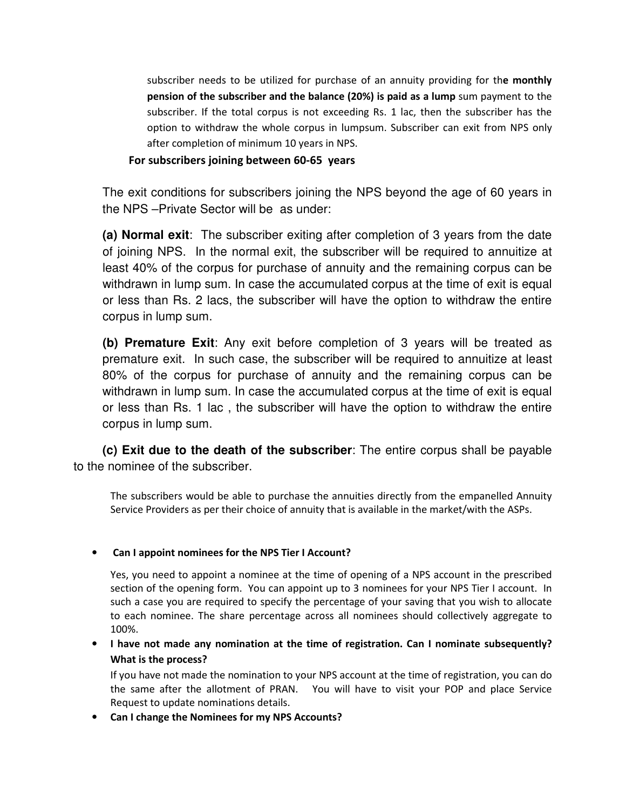subscriber needs to be utilized for purchase of an annuity providing for th**e monthly pension of the subscriber and the balance (20%) is paid as a lump** sum payment to the subscriber. If the total corpus is not exceeding Rs. 1 lac, then the subscriber has the option to withdraw the whole corpus in lumpsum. Subscriber can exit from NPS only after completion of minimum 10 years in NPS.

## **For subscribers joining between 60-65 years**

The exit conditions for subscribers joining the NPS beyond the age of 60 years in the NPS –Private Sector will be as under:

**(a) Normal exit**: The subscriber exiting after completion of 3 years from the date of joining NPS. In the normal exit, the subscriber will be required to annuitize at least 40% of the corpus for purchase of annuity and the remaining corpus can be withdrawn in lump sum. In case the accumulated corpus at the time of exit is equal or less than Rs. 2 lacs, the subscriber will have the option to withdraw the entire corpus in lump sum.

**(b) Premature Exit**: Any exit before completion of 3 years will be treated as premature exit. In such case, the subscriber will be required to annuitize at least 80% of the corpus for purchase of annuity and the remaining corpus can be withdrawn in lump sum. In case the accumulated corpus at the time of exit is equal or less than Rs. 1 lac , the subscriber will have the option to withdraw the entire corpus in lump sum.

**(c) Exit due to the death of the subscriber**: The entire corpus shall be payable to the nominee of the subscriber.

The subscribers would be able to purchase the annuities directly from the empanelled Annuity Service Providers as per their choice of annuity that is available in the market/with the ASPs.

## • **Can I appoint nominees for the NPS Tier I Account?**

Yes, you need to appoint a nominee at the time of opening of a NPS account in the prescribed section of the opening form. You can appoint up to 3 nominees for your NPS Tier I account. In such a case you are required to specify the percentage of your saving that you wish to allocate to each nominee. The share percentage across all nominees should collectively aggregate to 100%.

• **I have not made any nomination at the time of registration. Can I nominate subsequently? What is the process?** 

If you have not made the nomination to your NPS account at the time of registration, you can do the same after the allotment of PRAN. You will have to visit your POP and place Service Request to update nominations details.

• **Can I change the Nominees for my NPS Accounts?**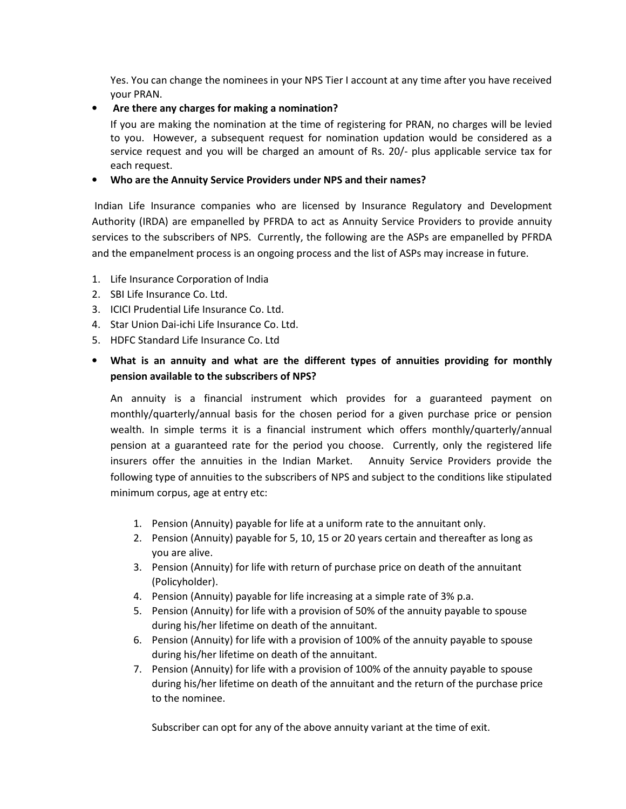Yes. You can change the nominees in your NPS Tier I account at any time after you have received your PRAN.

### • **Are there any charges for making a nomination?**

If you are making the nomination at the time of registering for PRAN, no charges will be levied to you. However, a subsequent request for nomination updation would be considered as a service request and you will be charged an amount of Rs. 20/- plus applicable service tax for each request.

### • **Who are the Annuity Service Providers under NPS and their names?**

Indian Life Insurance companies who are licensed by Insurance Regulatory and Development Authority (IRDA) are empanelled by PFRDA to act as Annuity Service Providers to provide annuity services to the subscribers of NPS. Currently, the following are the ASPs are empanelled by PFRDA and the empanelment process is an ongoing process and the list of ASPs may increase in future.

- 1. Life Insurance Corporation of India
- 2. SBI Life Insurance Co. Ltd.
- 3. ICICI Prudential Life Insurance Co. Ltd.
- 4. Star Union Dai-ichi Life Insurance Co. Ltd.
- 5. HDFC Standard Life Insurance Co. Ltd

# • **What is an annuity and what are the different types of annuities providing for monthly pension available to the subscribers of NPS?**

An annuity is a financial instrument which provides for a guaranteed payment on monthly/quarterly/annual basis for the chosen period for a given purchase price or pension wealth. In simple terms it is a financial instrument which offers monthly/quarterly/annual pension at a guaranteed rate for the period you choose. Currently, only the registered life insurers offer the annuities in the Indian Market. Annuity Service Providers provide the following type of annuities to the subscribers of NPS and subject to the conditions like stipulated minimum corpus, age at entry etc:

- 1. Pension (Annuity) payable for life at a uniform rate to the annuitant only.
- 2. Pension (Annuity) payable for 5, 10, 15 or 20 years certain and thereafter as long as you are alive.
- 3. Pension (Annuity) for life with return of purchase price on death of the annuitant (Policyholder).
- 4. Pension (Annuity) payable for life increasing at a simple rate of 3% p.a.
- 5. Pension (Annuity) for life with a provision of 50% of the annuity payable to spouse during his/her lifetime on death of the annuitant.
- 6. Pension (Annuity) for life with a provision of 100% of the annuity payable to spouse during his/her lifetime on death of the annuitant.
- 7. Pension (Annuity) for life with a provision of 100% of the annuity payable to spouse during his/her lifetime on death of the annuitant and the return of the purchase price to the nominee.

Subscriber can opt for any of the above annuity variant at the time of exit.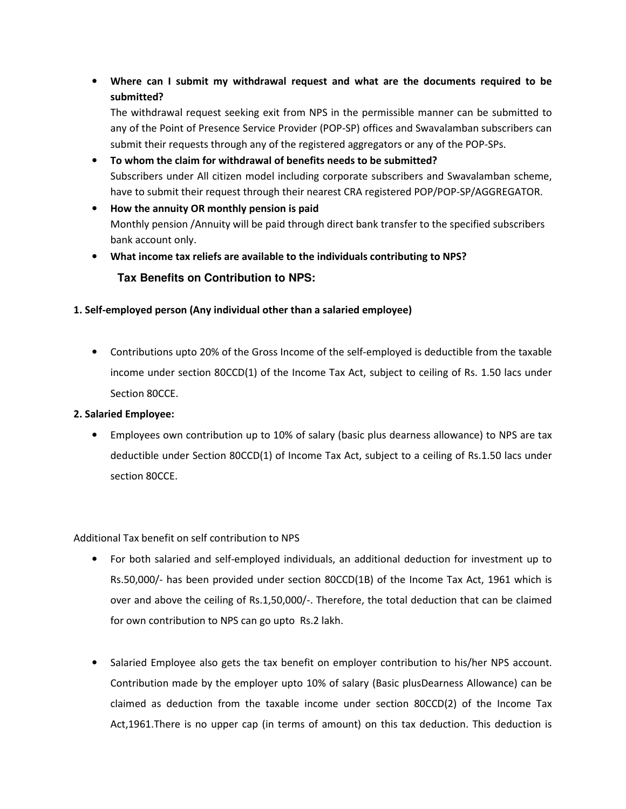• **Where can I submit my withdrawal request and what are the documents required to be submitted?** 

The withdrawal request seeking exit from NPS in the permissible manner can be submitted to any of the Point of Presence Service Provider (POP-SP) offices and Swavalamban subscribers can submit their requests through any of the registered aggregators or any of the POP-SPs.

- **To whom the claim for withdrawal of benefits needs to be submitted?**  Subscribers under All citizen model including corporate subscribers and Swavalamban scheme, have to submit their request through their nearest CRA registered POP/POP-SP/AGGREGATOR.
- **How the annuity OR monthly pension is paid**  Monthly pension /Annuity will be paid through direct bank transfer to the specified subscribers bank account only.
- **What income tax reliefs are available to the individuals contributing to NPS?**

# **Tax Benefits on Contribution to NPS:**

## **1. Self-employed person (Any individual other than a salaried employee)**

• Contributions upto 20% of the Gross Income of the self-employed is deductible from the taxable income under section 80CCD(1) of the Income Tax Act, subject to ceiling of Rs. 1.50 lacs under Section 80CCE.

## **2. Salaried Employee:**

• Employees own contribution up to 10% of salary (basic plus dearness allowance) to NPS are tax deductible under Section 80CCD(1) of Income Tax Act, subject to a ceiling of Rs.1.50 lacs under section 80CCE.

Additional Tax benefit on self contribution to NPS

- For both salaried and self-employed individuals, an additional deduction for investment up to Rs.50,000/- has been provided under section 80CCD(1B) of the Income Tax Act, 1961 which is over and above the ceiling of Rs.1,50,000/-. Therefore, the total deduction that can be claimed for own contribution to NPS can go upto Rs.2 lakh.
- Salaried Employee also gets the tax benefit on employer contribution to his/her NPS account. Contribution made by the employer upto 10% of salary (Basic plusDearness Allowance) can be claimed as deduction from the taxable income under section 80CCD(2) of the Income Tax Act,1961.There is no upper cap (in terms of amount) on this tax deduction. This deduction is